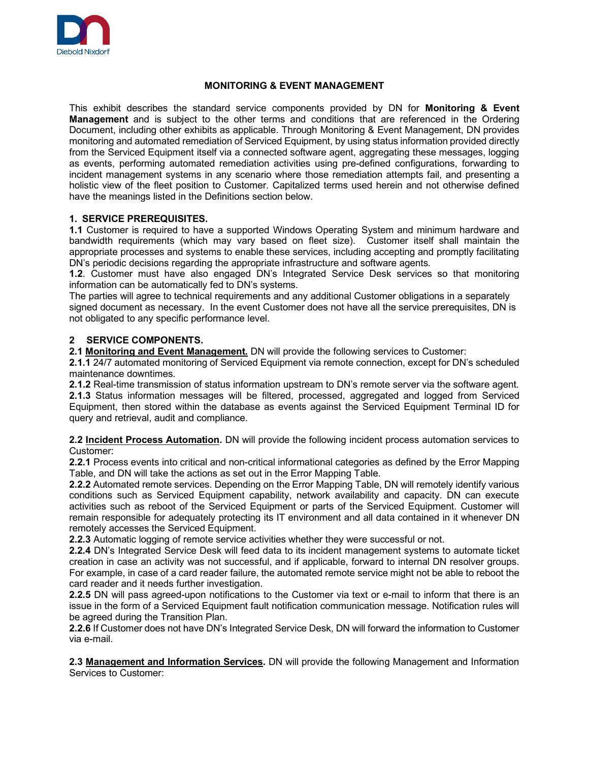

# **MONITORING & EVENT MANAGEMENT**

This exhibit describes the standard service components provided by DN for **Monitoring & Event Management** and is subject to the other terms and conditions that are referenced in the Ordering Document, including other exhibits as applicable. Through Monitoring & Event Management, DN provides monitoring and automated remediation of Serviced Equipment, by using status information provided directly from the Serviced Equipment itself via a connected software agent, aggregating these messages, logging as events, performing automated remediation activities using pre-defined configurations, forwarding to incident management systems in any scenario where those remediation attempts fail, and presenting a holistic view of the fleet position to Customer. Capitalized terms used herein and not otherwise defined have the meanings listed in the Definitions section below.

## **1. SERVICE PREREQUISITES.**

**1.1** Customer is required to have a supported Windows Operating System and minimum hardware and bandwidth requirements (which may vary based on fleet size). Customer itself shall maintain the appropriate processes and systems to enable these services, including accepting and promptly facilitating DN's periodic decisions regarding the appropriate infrastructure and software agents.

**1.2**. Customer must have also engaged DN's Integrated Service Desk services so that monitoring information can be automatically fed to DN's systems.

The parties will agree to technical requirements and any additional Customer obligations in a separately signed document as necessary. In the event Customer does not have all the service prerequisites, DN is not obligated to any specific performance level.

# **2 SERVICE COMPONENTS.**

**2.1 Monitoring and Event Management.** DN will provide the following services to Customer:

**2.1.1** 24/7 automated monitoring of Serviced Equipment via remote connection, except for DN's scheduled maintenance downtimes.

**2.1.2** Real-time transmission of status information upstream to DN's remote server via the software agent. **2.1.3** Status information messages will be filtered, processed, aggregated and logged from Serviced Equipment, then stored within the database as events against the Serviced Equipment Terminal ID for query and retrieval, audit and compliance.

**2.2 Incident Process Automation.** DN will provide the following incident process automation services to Customer:

**2.2.1** Process events into critical and non-critical informational categories as defined by the Error Mapping Table, and DN will take the actions as set out in the Error Mapping Table.

**2.2.2** Automated remote services. Depending on the Error Mapping Table, DN will remotely identify various conditions such as Serviced Equipment capability, network availability and capacity. DN can execute activities such as reboot of the Serviced Equipment or parts of the Serviced Equipment. Customer will remain responsible for adequately protecting its IT environment and all data contained in it whenever DN remotely accesses the Serviced Equipment.

**2.2.3** Automatic logging of remote service activities whether they were successful or not.

**2.2.4** DN's Integrated Service Desk will feed data to its incident management systems to automate ticket creation in case an activity was not successful, and if applicable, forward to internal DN resolver groups. For example, in case of a card reader failure, the automated remote service might not be able to reboot the card reader and it needs further investigation.

**2.2.5** DN will pass agreed-upon notifications to the Customer via text or e-mail to inform that there is an issue in the form of a Serviced Equipment fault notification communication message. Notification rules will be agreed during the Transition Plan.

**2.2.6** If Customer does not have DN's Integrated Service Desk, DN will forward the information to Customer via e-mail.

**2.3 Management and Information Services.** DN will provide the following Management and Information Services to Customer: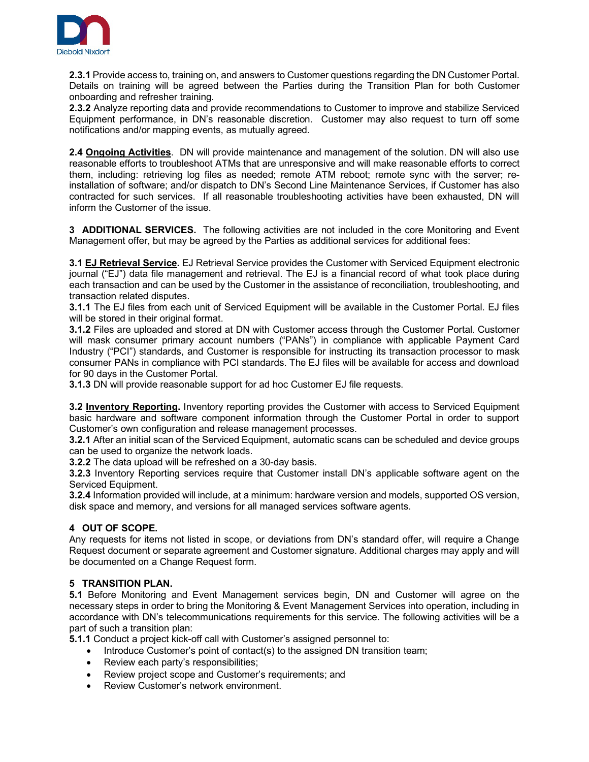

**2.3.1** Provide access to, training on, and answers to Customer questions regarding the DN Customer Portal. Details on training will be agreed between the Parties during the Transition Plan for both Customer onboarding and refresher training.

**2.3.2** Analyze reporting data and provide recommendations to Customer to improve and stabilize Serviced Equipment performance, in DN's reasonable discretion. Customer may also request to turn off some notifications and/or mapping events, as mutually agreed.

**2.4 Ongoing Activities**. DN will provide maintenance and management of the solution. DN will also use reasonable efforts to troubleshoot ATMs that are unresponsive and will make reasonable efforts to correct them, including: retrieving log files as needed; remote ATM reboot; remote sync with the server; reinstallation of software; and/or dispatch to DN's Second Line Maintenance Services, if Customer has also contracted for such services. If all reasonable troubleshooting activities have been exhausted, DN will inform the Customer of the issue.

**3 ADDITIONAL SERVICES.** The following activities are not included in the core Monitoring and Event Management offer, but may be agreed by the Parties as additional services for additional fees:

**3.1 EJ Retrieval Service.** EJ Retrieval Service provides the Customer with Serviced Equipment electronic journal ("EJ") data file management and retrieval. The EJ is a financial record of what took place during each transaction and can be used by the Customer in the assistance of reconciliation, troubleshooting, and transaction related disputes.

**3.1.1** The EJ files from each unit of Serviced Equipment will be available in the Customer Portal. EJ files will be stored in their original format.

**3.1.2** Files are uploaded and stored at DN with Customer access through the Customer Portal. Customer will mask consumer primary account numbers ("PANs") in compliance with applicable Payment Card Industry ("PCI") standards, and Customer is responsible for instructing its transaction processor to mask consumer PANs in compliance with PCI standards. The EJ files will be available for access and download for 90 days in the Customer Portal.

**3.1.3** DN will provide reasonable support for ad hoc Customer EJ file requests.

**3.2 Inventory Reporting.** Inventory reporting provides the Customer with access to Serviced Equipment basic hardware and software component information through the Customer Portal in order to support Customer's own configuration and release management processes.

**3.2.1** After an initial scan of the Serviced Equipment, automatic scans can be scheduled and device groups can be used to organize the network loads.

**3.2.2** The data upload will be refreshed on a 30-day basis.

**3.2.3** Inventory Reporting services require that Customer install DN's applicable software agent on the Serviced Equipment.

**3.2.4** Information provided will include, at a minimum: hardware version and models, supported OS version, disk space and memory, and versions for all managed services software agents.

# **4 OUT OF SCOPE.**

Any requests for items not listed in scope, or deviations from DN's standard offer, will require a Change Request document or separate agreement and Customer signature. Additional charges may apply and will be documented on a Change Request form.

# **5 TRANSITION PLAN.**

**5.1** Before Monitoring and Event Management services begin, DN and Customer will agree on the necessary steps in order to bring the Monitoring & Event Management Services into operation, including in accordance with DN's telecommunications requirements for this service. The following activities will be a part of such a transition plan:

**5.1.1** Conduct a project kick-off call with Customer's assigned personnel to:

- Introduce Customer's point of contact(s) to the assigned DN transition team;
- Review each party's responsibilities:
- Review project scope and Customer's requirements; and
- Review Customer's network environment.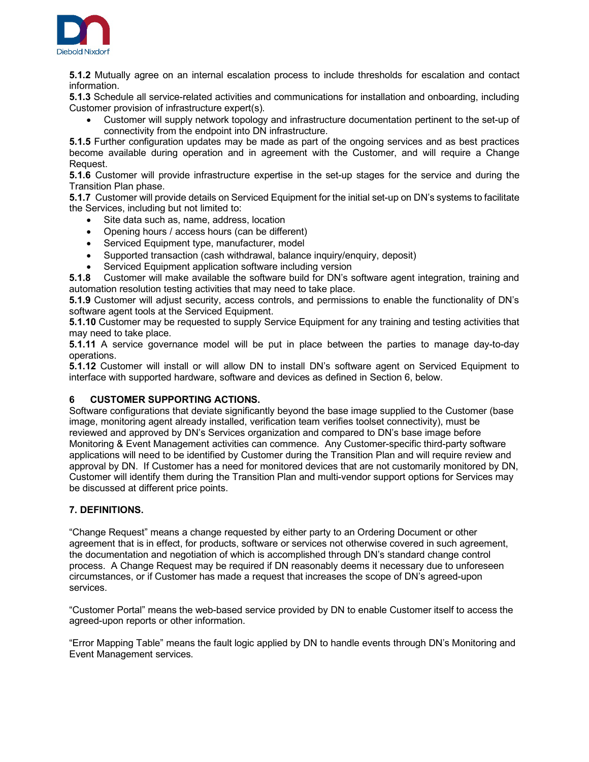

**5.1.2** Mutually agree on an internal escalation process to include thresholds for escalation and contact information.

**5.1.3** Schedule all service-related activities and communications for installation and onboarding, including Customer provision of infrastructure expert(s).

• Customer will supply network topology and infrastructure documentation pertinent to the set-up of connectivity from the endpoint into DN infrastructure.

**5.1.5** Further configuration updates may be made as part of the ongoing services and as best practices become available during operation and in agreement with the Customer, and will require a Change Request.

**5.1.6** Customer will provide infrastructure expertise in the set-up stages for the service and during the Transition Plan phase.

**5.1.7** Customer will provide details on Serviced Equipment for the initial set-up on DN's systems to facilitate the Services, including but not limited to:

- Site data such as, name, address, location
- Opening hours / access hours (can be different)
- Serviced Equipment type, manufacturer, model
- Supported transaction (cash withdrawal, balance inquiry/enquiry, deposit)
- Serviced Equipment application software including version

**5.1.8** Customer will make available the software build for DN's software agent integration, training and automation resolution testing activities that may need to take place.

**5.1.9** Customer will adjust security, access controls, and permissions to enable the functionality of DN's software agent tools at the Serviced Equipment.

**5.1.10** Customer may be requested to supply Service Equipment for any training and testing activities that may need to take place.

**5.1.11** A service governance model will be put in place between the parties to manage day-to-day operations.

**5.1.12** Customer will install or will allow DN to install DN's software agent on Serviced Equipment to interface with supported hardware, software and devices as defined in Section 6, below.

# **6 CUSTOMER SUPPORTING ACTIONS.**

Software configurations that deviate significantly beyond the base image supplied to the Customer (base image, monitoring agent already installed, verification team verifies toolset connectivity), must be reviewed and approved by DN's Services organization and compared to DN's base image before Monitoring & Event Management activities can commence. Any Customer-specific third-party software applications will need to be identified by Customer during the Transition Plan and will require review and approval by DN. If Customer has a need for monitored devices that are not customarily monitored by DN, Customer will identify them during the Transition Plan and multi-vendor support options for Services may be discussed at different price points.

# **7. DEFINITIONS.**

"Change Request" means a change requested by either party to an Ordering Document or other agreement that is in effect, for products, software or services not otherwise covered in such agreement, the documentation and negotiation of which is accomplished through DN's standard change control process. A Change Request may be required if DN reasonably deems it necessary due to unforeseen circumstances, or if Customer has made a request that increases the scope of DN's agreed-upon services.

"Customer Portal" means the web-based service provided by DN to enable Customer itself to access the agreed-upon reports or other information.

"Error Mapping Table" means the fault logic applied by DN to handle events through DN's Monitoring and Event Management services.